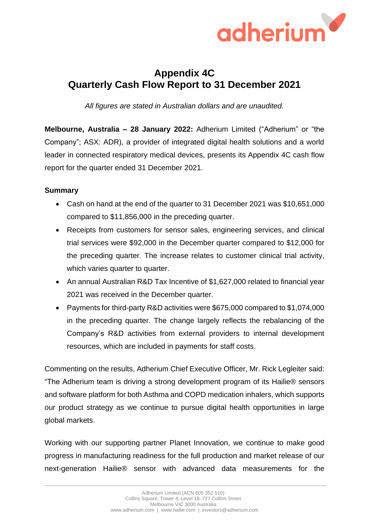

# **Appendix 4C Quarterly Cash Flow Report to 31 December 2021**

*All figures are stated in Australian dollars and are unaudited.*

**Melbourne, Australia – 28 January 2022:** Adherium Limited ("Adherium" or "the Company"; ASX: ADR), a provider of integrated digital health solutions and a world leader in connected respiratory medical devices, presents its Appendix 4C cash flow report for the quarter ended 31 December 2021.

### **Summary**

- Cash on hand at the end of the quarter to 31 December 2021 was \$10,651,000 compared to \$11,856,000 in the preceding quarter.
- Receipts from customers for sensor sales, engineering services, and clinical trial services were \$92,000 in the December quarter compared to \$12,000 for the preceding quarter. The increase relates to customer clinical trial activity, which varies quarter to quarter.
- An annual Australian R&D Tax Incentive of \$1,627,000 related to financial year 2021 was received in the December quarter.
- Payments for third-party R&D activities were \$675,000 compared to \$1,074,000 in the preceding quarter. The change largely reflects the rebalancing of the Company's R&D activities from external providers to internal development resources, which are included in payments for staff costs.

Commenting on the results, Adherium Chief Executive Officer, Mr. Rick Legleiter said: "The Adherium team is driving a strong development program of its Hailie® sensors and software platform for both Asthma and COPD medication inhalers, which supports our product strategy as we continue to pursue digital health opportunities in large global markets.

Working with our supporting partner Planet Innovation, we continue to make good progress in manufacturing readiness for the full production and market release of our next-generation Hailie® sensor with advanced data measurements for the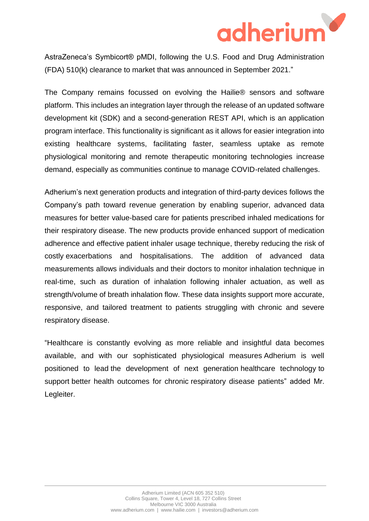

AstraZeneca's Symbicort® pMDI, following the U.S. Food and Drug Administration (FDA) 510(k) clearance to market that was announced in September 2021."

The Company remains focussed on evolving the Hailie® sensors and software platform. This includes an integration layer through the release of an updated software development kit (SDK) and a second-generation REST API, which is an application program interface. This functionality is significant as it allows for easier integration into existing healthcare systems, facilitating faster, seamless uptake as remote physiological monitoring and remote therapeutic monitoring technologies increase demand, especially as communities continue to manage COVID-related challenges.

Adherium's next generation products and integration of third-party devices follows the Company's path toward revenue generation by enabling superior, advanced data measures for better value-based care for patients prescribed inhaled medications for their respiratory disease. The new products provide enhanced support of medication adherence and effective patient inhaler usage technique, thereby reducing the risk of costly exacerbations and hospitalisations. The addition of advanced data measurements allows individuals and their doctors to monitor inhalation technique in real-time, such as duration of inhalation following inhaler actuation, as well as strength/volume of breath inhalation flow. These data insights support more accurate, responsive, and tailored treatment to patients struggling with chronic and severe respiratory disease.

"Healthcare is constantly evolving as more reliable and insightful data becomes available, and with our sophisticated physiological measures Adherium is well positioned to lead the development of next generation healthcare technology to support better health outcomes for chronic respiratory disease patients" added Mr. Legleiter.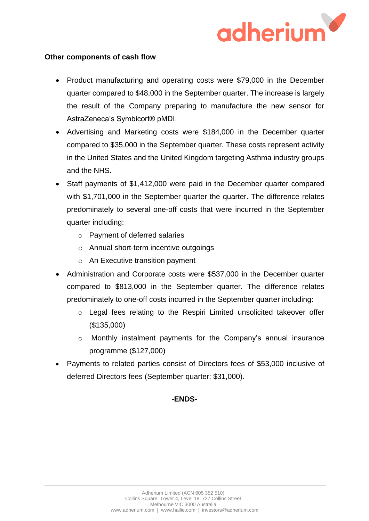

#### **Other components of cash flow**

- Product manufacturing and operating costs were \$79,000 in the December quarter compared to \$48,000 in the September quarter. The increase is largely the result of the Company preparing to manufacture the new sensor for AstraZeneca's Symbicort® pMDI.
- Advertising and Marketing costs were \$184,000 in the December quarter compared to \$35,000 in the September quarter. These costs represent activity in the United States and the United Kingdom targeting Asthma industry groups and the NHS.
- Staff payments of \$1,412,000 were paid in the December quarter compared with \$1,701,000 in the September quarter the quarter. The difference relates predominately to several one-off costs that were incurred in the September quarter including:
	- o Payment of deferred salaries
	- o Annual short-term incentive outgoings
	- o An Executive transition payment
- Administration and Corporate costs were \$537,000 in the December quarter compared to \$813,000 in the September quarter. The difference relates predominately to one-off costs incurred in the September quarter including:
	- o Legal fees relating to the Respiri Limited unsolicited takeover offer (\$135,000)
	- o Monthly instalment payments for the Company's annual insurance programme (\$127,000)
- Payments to related parties consist of Directors fees of \$53,000 inclusive of deferred Directors fees (September quarter: \$31,000).

### **-ENDS-**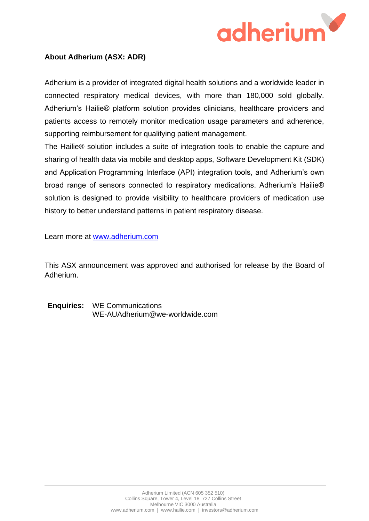

### **About Adherium (ASX: ADR)**

Adherium is a provider of integrated digital health solutions and a worldwide leader in connected respiratory medical devices, with more than 180,000 sold globally. Adherium's Hailie® platform solution provides clinicians, healthcare providers and patients access to remotely monitor medication usage parameters and adherence, supporting reimbursement for qualifying patient management.

The Hailie® solution includes a suite of integration tools to enable the capture and sharing of health data via mobile and desktop apps, Software Development Kit (SDK) and Application Programming Interface (API) integration tools, and Adherium's own broad range of sensors connected to respiratory medications. Adherium's Hailie® solution is designed to provide visibility to healthcare providers of medication use history to better understand patterns in patient respiratory disease.

Learn more at www.adherium.com

This ASX announcement was approved and authorised for release by the Board of Adherium.

**Enquiries:** WE Communications WE-AUAdherium@we-worldwide.com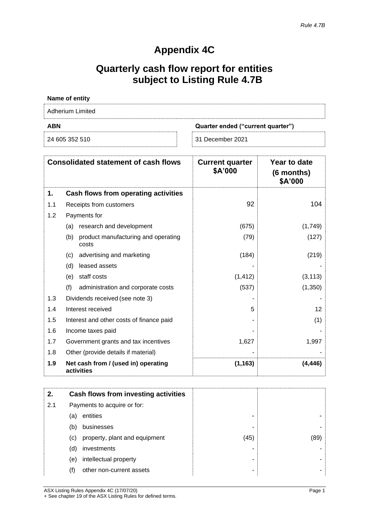### **Appendix 4C**

# **Quarterly cash flow report for entities subject to Listing Rule 4.7B**

| Name of entity   |                                   |  |  |
|------------------|-----------------------------------|--|--|
| Adherium Limited |                                   |  |  |
| <b>ABN</b>       | Quarter ended ("current quarter") |  |  |
| 24 605 352 510   | 31 December 2021                  |  |  |

| <b>Consolidated statement of cash flows</b> |                                                     | <b>Current quarter</b><br>\$A'000 | Year to date<br>(6 months)<br>\$A'000 |
|---------------------------------------------|-----------------------------------------------------|-----------------------------------|---------------------------------------|
| 1.                                          | Cash flows from operating activities                |                                   |                                       |
| 1.1                                         | Receipts from customers                             | 92                                | 104                                   |
| 1.2                                         | Payments for                                        |                                   |                                       |
|                                             | research and development<br>(a)                     | (675)                             | (1,749)                               |
|                                             | product manufacturing and operating<br>(b)<br>costs | (79)                              | (127)                                 |
|                                             | advertising and marketing<br>(c)                    | (184)                             | (219)                                 |
|                                             | leased assets<br>(d)                                |                                   |                                       |
|                                             | staff costs<br>(e)                                  | (1, 412)                          | (3, 113)                              |
|                                             | (f)<br>administration and corporate costs           | (537)                             | (1,350)                               |
| 1.3                                         | Dividends received (see note 3)                     |                                   |                                       |
| 1.4                                         | Interest received                                   | 5                                 | 12                                    |
| 1.5                                         | Interest and other costs of finance paid            |                                   | (1)                                   |
| 1.6                                         | Income taxes paid                                   |                                   |                                       |
| 1.7                                         | Government grants and tax incentives                | 1,627                             | 1,997                                 |
| 1.8                                         | Other (provide details if material)                 |                                   |                                       |
| 1.9                                         | Net cash from / (used in) operating<br>activities   | (1, 163)                          | (4,446)                               |

| 2.  |                             | Cash flows from investing activities |      |      |
|-----|-----------------------------|--------------------------------------|------|------|
| 2.1 | Payments to acquire or for: |                                      |      |      |
|     | (a)                         | entities                             |      |      |
|     | (b)                         | businesses                           |      |      |
|     | (c)                         | property, plant and equipment        | (45) | (89) |
|     | (d)                         | investments                          |      |      |
|     | (e)                         | intellectual property                |      |      |
|     | (f)                         | other non-current assets             |      |      |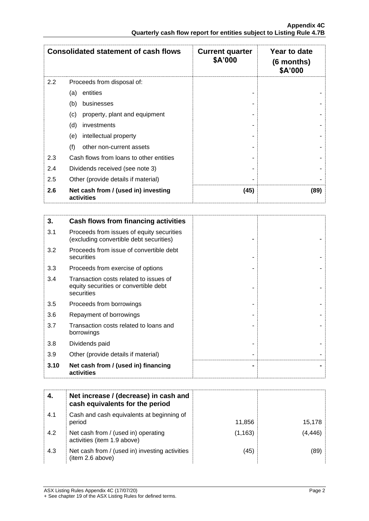| <b>Consolidated statement of cash flows</b> |                                                   | <b>Current quarter</b><br>\$A'000 | Year to date<br>$(6$ months)<br>\$A'000 |
|---------------------------------------------|---------------------------------------------------|-----------------------------------|-----------------------------------------|
| 2.2                                         | Proceeds from disposal of:                        |                                   |                                         |
|                                             | entities<br>(a)                                   |                                   |                                         |
|                                             | (b)<br>businesses                                 |                                   |                                         |
|                                             | (c)<br>property, plant and equipment              |                                   |                                         |
|                                             | (d)<br>investments                                |                                   |                                         |
|                                             | intellectual property<br>(e)                      |                                   |                                         |
|                                             | (f)<br>other non-current assets                   |                                   |                                         |
| 2.3                                         | Cash flows from loans to other entities           |                                   |                                         |
| 2.4                                         | Dividends received (see note 3)                   |                                   |                                         |
| 2.5                                         | Other (provide details if material)               |                                   |                                         |
| 2.6                                         | Net cash from / (used in) investing<br>activities | (45)                              | (89)                                    |

| 3.   | Cash flows from financing activities                                                          |  |
|------|-----------------------------------------------------------------------------------------------|--|
| 3.1  | Proceeds from issues of equity securities<br>(excluding convertible debt securities)          |  |
| 3.2  | Proceeds from issue of convertible debt<br>securities                                         |  |
| 3.3  | Proceeds from exercise of options                                                             |  |
| 3.4  | Transaction costs related to issues of<br>equity securities or convertible debt<br>securities |  |
| 3.5  | Proceeds from borrowings                                                                      |  |
| 3.6  | Repayment of borrowings                                                                       |  |
| 3.7  | Transaction costs related to loans and<br>borrowings                                          |  |
| 3.8  | Dividends paid                                                                                |  |
| 3.9  | Other (provide details if material)                                                           |  |
| 3.10 | Net cash from / (used in) financing<br>activities                                             |  |

| 4.  | Net increase / (decrease) in cash and<br>cash equivalents for the period |          |          |
|-----|--------------------------------------------------------------------------|----------|----------|
| 4.1 | Cash and cash equivalents at beginning of<br>period                      | 11,856   | 15,178   |
| 4.2 | Net cash from / (used in) operating<br>activities (item 1.9 above)       | (1, 163) | (4, 446) |
| 4.3 | Net cash from / (used in) investing activities<br>(item 2.6 above)       | (45)     | (89)     |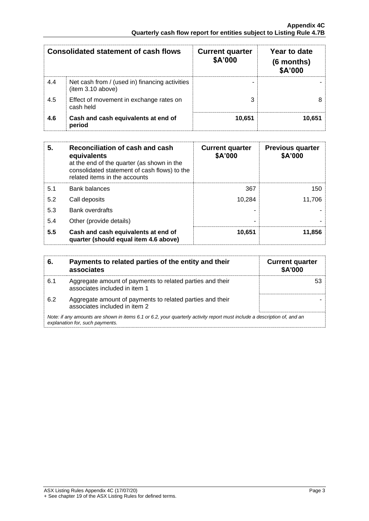| <b>Consolidated statement of cash flows</b> |                                                                     | <b>Current quarter</b><br>\$A'000 | Year to date<br>(6 months)<br>\$A'000 |
|---------------------------------------------|---------------------------------------------------------------------|-----------------------------------|---------------------------------------|
| 4.4                                         | Net cash from / (used in) financing activities<br>(item 3.10 above) |                                   |                                       |
| 4.5                                         | Effect of movement in exchange rates on<br>cash held                |                                   |                                       |
| 4.6                                         | Cash and cash equivalents at end of<br>period                       | 10,651                            | 10,651                                |

| 5.  | Reconciliation of cash and cash<br>equivalents<br>at the end of the quarter (as shown in the<br>consolidated statement of cash flows) to the<br>related items in the accounts | <b>Current quarter</b><br>\$A'000 | <b>Previous quarter</b><br>\$A'000 |
|-----|-------------------------------------------------------------------------------------------------------------------------------------------------------------------------------|-----------------------------------|------------------------------------|
| 5.1 | <b>Bank balances</b>                                                                                                                                                          | 367                               | 150                                |
| 5.2 | Call deposits                                                                                                                                                                 | 10.284                            | 11.706                             |
| 5.3 | <b>Bank overdrafts</b>                                                                                                                                                        |                                   |                                    |
| 5.4 | Other (provide details)                                                                                                                                                       |                                   |                                    |
| 5.5 | Cash and cash equivalents at end of<br>quarter (should equal item 4.6 above)                                                                                                  | 10,651                            | 11,856                             |

| 6.  | Payments to related parties of the entity and their<br>associates                                                                                           | <b>Current quarter</b><br><b>\$A'000</b> |
|-----|-------------------------------------------------------------------------------------------------------------------------------------------------------------|------------------------------------------|
| 6.1 | Aggregate amount of payments to related parties and their<br>associates included in item 1                                                                  |                                          |
| 6.2 | Aggregate amount of payments to related parties and their<br>associates included in item 2                                                                  |                                          |
|     | Note: if any amounts are shown in items 6.1 or 6.2, your quarterly activity report must include a description of, and an<br>explanation for, such payments. |                                          |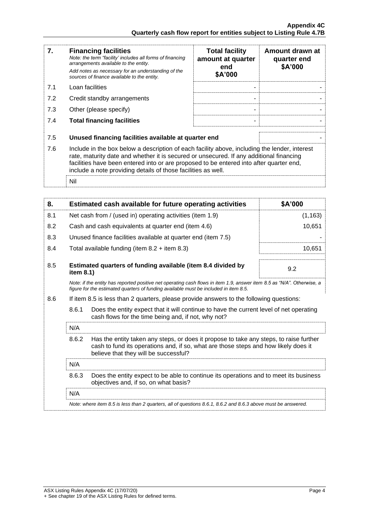| 7.  | <b>Financing facilities</b><br>Note: the term "facility' includes all forms of financing<br>arrangements available to the entity.<br>Add notes as necessary for an understanding of the<br>sources of finance available to the entity.                                                                                                               | <b>Total facility</b><br>amount at quarter<br>end<br>\$A'000 | Amount drawn at<br>quarter end<br>\$A'000 |
|-----|------------------------------------------------------------------------------------------------------------------------------------------------------------------------------------------------------------------------------------------------------------------------------------------------------------------------------------------------------|--------------------------------------------------------------|-------------------------------------------|
| 7.1 | Loan facilities                                                                                                                                                                                                                                                                                                                                      |                                                              |                                           |
| 7.2 | Credit standby arrangements                                                                                                                                                                                                                                                                                                                          | ۰                                                            |                                           |
| 7.3 | Other (please specify)                                                                                                                                                                                                                                                                                                                               |                                                              |                                           |
| 7.4 | <b>Total financing facilities</b>                                                                                                                                                                                                                                                                                                                    | ۰                                                            |                                           |
| 7.5 | Unused financing facilities available at quarter end                                                                                                                                                                                                                                                                                                 |                                                              |                                           |
| 7.6 | Include in the box below a description of each facility above, including the lender, interest<br>rate, maturity date and whether it is secured or unsecured. If any additional financing<br>facilities have been entered into or are proposed to be entered into after quarter end,<br>include a note providing details of those facilities as well. |                                                              |                                           |
|     | Nil                                                                                                                                                                                                                                                                                                                                                  |                                                              |                                           |

| 8.                                                                                                                                                                                                                                     |                                                                                                                                                         | Estimated cash available for future operating activities                                                      | \$A'000  |
|----------------------------------------------------------------------------------------------------------------------------------------------------------------------------------------------------------------------------------------|---------------------------------------------------------------------------------------------------------------------------------------------------------|---------------------------------------------------------------------------------------------------------------|----------|
| 8.1                                                                                                                                                                                                                                    |                                                                                                                                                         | Net cash from / (used in) operating activities (item 1.9)                                                     | (1, 163) |
| 8.2                                                                                                                                                                                                                                    |                                                                                                                                                         | Cash and cash equivalents at quarter end (item 4.6)                                                           | 10,651   |
| 8.3                                                                                                                                                                                                                                    |                                                                                                                                                         | Unused finance facilities available at quarter end (item 7.5)                                                 |          |
| 8.4                                                                                                                                                                                                                                    |                                                                                                                                                         | Total available funding (item $8.2 +$ item $8.3$ )                                                            | 10,651   |
| 8.5                                                                                                                                                                                                                                    | item 8.1)                                                                                                                                               | Estimated quarters of funding available (item 8.4 divided by                                                  | 9.2      |
| Note: if the entity has reported positive net operating cash flows in item 1.9, answer item 8.5 as "N/A". Otherwise, a<br>figure for the estimated quarters of funding available must be included in item 8.5.                         |                                                                                                                                                         |                                                                                                               |          |
| 8.6                                                                                                                                                                                                                                    |                                                                                                                                                         | If item 8.5 is less than 2 quarters, please provide answers to the following questions:                       |          |
|                                                                                                                                                                                                                                        | 8.6.1<br>Does the entity expect that it will continue to have the current level of net operating<br>cash flows for the time being and, if not, why not? |                                                                                                               |          |
| N/A<br>8.6.2<br>Has the entity taken any steps, or does it propose to take any steps, to raise further<br>cash to fund its operations and, if so, what are those steps and how likely does it<br>believe that they will be successful? |                                                                                                                                                         |                                                                                                               |          |
|                                                                                                                                                                                                                                        |                                                                                                                                                         |                                                                                                               |          |
|                                                                                                                                                                                                                                        | N/A                                                                                                                                                     |                                                                                                               |          |
| 8.6.3<br>Does the entity expect to be able to continue its operations and to meet its business<br>objectives and, if so, on what basis?                                                                                                |                                                                                                                                                         |                                                                                                               |          |
| N/A                                                                                                                                                                                                                                    |                                                                                                                                                         |                                                                                                               |          |
|                                                                                                                                                                                                                                        |                                                                                                                                                         | Note: where item 8.5 is less than 2 quarters, all of questions 8.6.1, 8.6.2 and 8.6.3 above must be answered. |          |